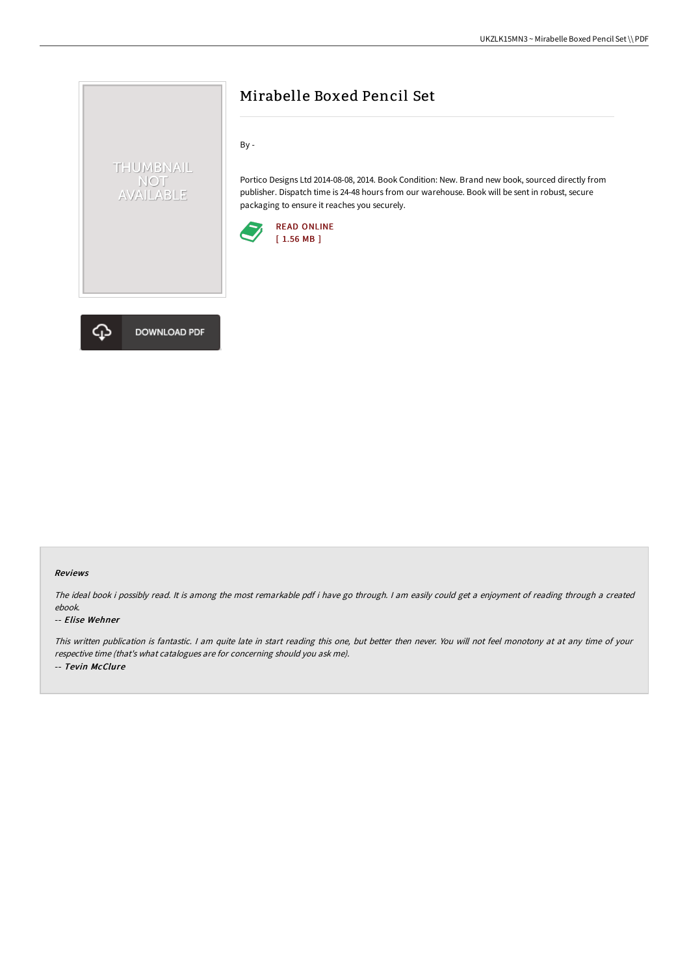# Mirabelle Boxed Pencil Set

By -

Portico Designs Ltd 2014-08-08, 2014. Book Condition: New. Brand new book, sourced directly from publisher. Dispatch time is 24-48 hours from our warehouse. Book will be sent in robust, secure packaging to ensure it reaches you securely.





THUMBNAIL NOT<br>AVAILABLE

#### Reviews

The ideal book i possibly read. It is among the most remarkable pdf i have go through. I am easily could get a enjoyment of reading through a created ebook.

#### -- Elise Wehner

This written publication is fantastic. <sup>I</sup> am quite late in start reading this one, but better then never. You will not feel monotony at at any time of your respective time (that's what catalogues are for concerning should you ask me). -- Tevin McClure